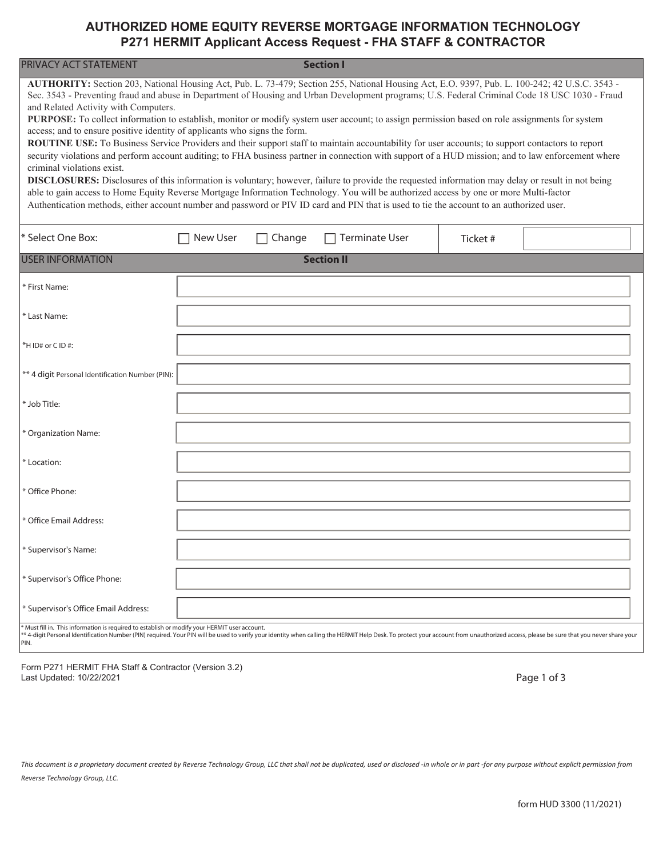## **AUTHORIZED HOME EQUITY REVERSE MORTGAGE INFORMATION TECHNOLOGY P271 HERMIT Applicant Access Request - FHA STAFF & CONTRACTOR**

| PRIVACY ACT STATEMENT<br><b>Section I</b>                                                                                                                                                                                                                                                                                                                                                                                                                                                                                                                                                                                                                                                                                                                                                                                                                                                                                                                                                                                                                                                                                                                                                                                                                                                                                                                 |                 |        |                   |          |  |  |  |  |
|-----------------------------------------------------------------------------------------------------------------------------------------------------------------------------------------------------------------------------------------------------------------------------------------------------------------------------------------------------------------------------------------------------------------------------------------------------------------------------------------------------------------------------------------------------------------------------------------------------------------------------------------------------------------------------------------------------------------------------------------------------------------------------------------------------------------------------------------------------------------------------------------------------------------------------------------------------------------------------------------------------------------------------------------------------------------------------------------------------------------------------------------------------------------------------------------------------------------------------------------------------------------------------------------------------------------------------------------------------------|-----------------|--------|-------------------|----------|--|--|--|--|
| AUTHORITY: Section 203, National Housing Act, Pub. L. 73-479; Section 255, National Housing Act, E.O. 9397, Pub. L. 100-242; 42 U.S.C. 3543 -<br>Sec. 3543 - Preventing fraud and abuse in Department of Housing and Urban Development programs; U.S. Federal Criminal Code 18 USC 1030 - Fraud<br>and Related Activity with Computers.<br>PURPOSE: To collect information to establish, monitor or modify system user account; to assign permission based on role assignments for system<br>access; and to ensure positive identity of applicants who signs the form.<br>ROUTINE USE: To Business Service Providers and their support staff to maintain accountability for user accounts; to support contactors to report<br>security violations and perform account auditing; to FHA business partner in connection with support of a HUD mission; and to law enforcement where<br>criminal violations exist.<br>DISCLOSURES: Disclosures of this information is voluntary; however, failure to provide the requested information may delay or result in not being<br>able to gain access to Home Equity Reverse Mortgage Information Technology. You will be authorized access by one or more Multi-factor<br>Authentication methods, either account number and password or PIV ID card and PIN that is used to tie the account to an authorized user. |                 |        |                   |          |  |  |  |  |
| * Select One Box:                                                                                                                                                                                                                                                                                                                                                                                                                                                                                                                                                                                                                                                                                                                                                                                                                                                                                                                                                                                                                                                                                                                                                                                                                                                                                                                                         | <b>New User</b> | Change | Terminate User    | Ticket # |  |  |  |  |
| <b>USER INFORMATION</b>                                                                                                                                                                                                                                                                                                                                                                                                                                                                                                                                                                                                                                                                                                                                                                                                                                                                                                                                                                                                                                                                                                                                                                                                                                                                                                                                   |                 |        | <b>Section II</b> |          |  |  |  |  |
| * First Name:                                                                                                                                                                                                                                                                                                                                                                                                                                                                                                                                                                                                                                                                                                                                                                                                                                                                                                                                                                                                                                                                                                                                                                                                                                                                                                                                             |                 |        |                   |          |  |  |  |  |
| * Last Name:                                                                                                                                                                                                                                                                                                                                                                                                                                                                                                                                                                                                                                                                                                                                                                                                                                                                                                                                                                                                                                                                                                                                                                                                                                                                                                                                              |                 |        |                   |          |  |  |  |  |
| *HID# or CID#:                                                                                                                                                                                                                                                                                                                                                                                                                                                                                                                                                                                                                                                                                                                                                                                                                                                                                                                                                                                                                                                                                                                                                                                                                                                                                                                                            |                 |        |                   |          |  |  |  |  |
| ** 4 digit Personal Identification Number (PIN):                                                                                                                                                                                                                                                                                                                                                                                                                                                                                                                                                                                                                                                                                                                                                                                                                                                                                                                                                                                                                                                                                                                                                                                                                                                                                                          |                 |        |                   |          |  |  |  |  |
| * Job Title:                                                                                                                                                                                                                                                                                                                                                                                                                                                                                                                                                                                                                                                                                                                                                                                                                                                                                                                                                                                                                                                                                                                                                                                                                                                                                                                                              |                 |        |                   |          |  |  |  |  |
| * Organization Name:                                                                                                                                                                                                                                                                                                                                                                                                                                                                                                                                                                                                                                                                                                                                                                                                                                                                                                                                                                                                                                                                                                                                                                                                                                                                                                                                      |                 |        |                   |          |  |  |  |  |
| * Location:                                                                                                                                                                                                                                                                                                                                                                                                                                                                                                                                                                                                                                                                                                                                                                                                                                                                                                                                                                                                                                                                                                                                                                                                                                                                                                                                               |                 |        |                   |          |  |  |  |  |
| * Office Phone:                                                                                                                                                                                                                                                                                                                                                                                                                                                                                                                                                                                                                                                                                                                                                                                                                                                                                                                                                                                                                                                                                                                                                                                                                                                                                                                                           |                 |        |                   |          |  |  |  |  |
| * Office Email Address:                                                                                                                                                                                                                                                                                                                                                                                                                                                                                                                                                                                                                                                                                                                                                                                                                                                                                                                                                                                                                                                                                                                                                                                                                                                                                                                                   |                 |        |                   |          |  |  |  |  |
| * Supervisor's Name:                                                                                                                                                                                                                                                                                                                                                                                                                                                                                                                                                                                                                                                                                                                                                                                                                                                                                                                                                                                                                                                                                                                                                                                                                                                                                                                                      |                 |        |                   |          |  |  |  |  |
| * Supervisor's Office Phone:                                                                                                                                                                                                                                                                                                                                                                                                                                                                                                                                                                                                                                                                                                                                                                                                                                                                                                                                                                                                                                                                                                                                                                                                                                                                                                                              |                 |        |                   |          |  |  |  |  |
| * Supervisor's Office Email Address:                                                                                                                                                                                                                                                                                                                                                                                                                                                                                                                                                                                                                                                                                                                                                                                                                                                                                                                                                                                                                                                                                                                                                                                                                                                                                                                      |                 |        |                   |          |  |  |  |  |
| * Must fill in. This information is required to establish or modify your HERMIT user account.<br>** 4-digit Personal Identification Number (PIN) required. Your PIN will be used to verify your identity when calling the HERMIT Help Desk. To protect your account from unauthorized access, please be sure that you never sha                                                                                                                                                                                                                                                                                                                                                                                                                                                                                                                                                                                                                                                                                                                                                                                                                                                                                                                                                                                                                           |                 |        |                   |          |  |  |  |  |

PIN.

Form P271 HERMIT FHA Staff & Contractor (Version 3.2) Last Updated: 10/22/2021

Page 1 of 3

*This document is a proprietary document created by Reverse Technology Group, LLC that shall not be duplicated, used or disclosed -in whole or in part -for any purpose without explicit permission from Reverse Technology Group, LLC.*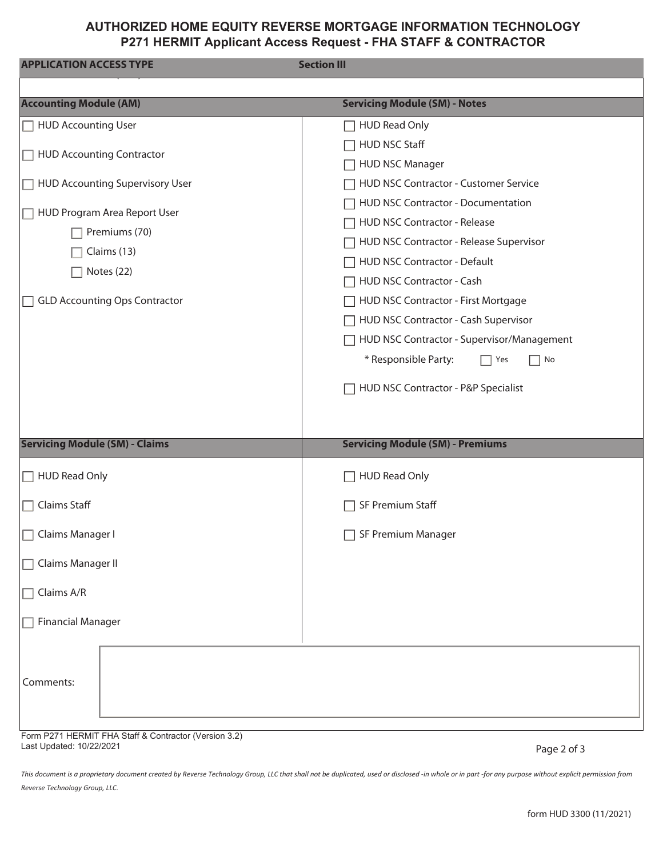## **AUTHORIZED HOME EQUITY REVERSE MORTGAGE INFORMATION TECHNOLOGY P271 HERMIT Applicant Access Request - FHA STAFF & CONTRACTOR**

| <b>APPLICATION ACCESS TYPE</b>                                                                                     | <b>Section III</b>                                                                                                                                                                                                                                                                                                                                                                  |  |  |  |  |
|--------------------------------------------------------------------------------------------------------------------|-------------------------------------------------------------------------------------------------------------------------------------------------------------------------------------------------------------------------------------------------------------------------------------------------------------------------------------------------------------------------------------|--|--|--|--|
|                                                                                                                    |                                                                                                                                                                                                                                                                                                                                                                                     |  |  |  |  |
| <b>Accounting Module (AM)</b>                                                                                      | <b>Servicing Module (SM) - Notes</b>                                                                                                                                                                                                                                                                                                                                                |  |  |  |  |
| HUD Accounting User                                                                                                | <b>HUD Read Only</b>                                                                                                                                                                                                                                                                                                                                                                |  |  |  |  |
| HUD Accounting Contractor                                                                                          | <b>HUD NSC Staff</b><br><b>HUD NSC Manager</b>                                                                                                                                                                                                                                                                                                                                      |  |  |  |  |
| HUD Accounting Supervisory User                                                                                    | HUD NSC Contractor - Customer Service                                                                                                                                                                                                                                                                                                                                               |  |  |  |  |
| HUD Program Area Report User<br>Premiums (70)<br>Claims (13)<br>Notes (22)<br><b>GLD Accounting Ops Contractor</b> | HUD NSC Contractor - Documentation<br>HUD NSC Contractor - Release<br>HUD NSC Contractor - Release Supervisor<br>HUD NSC Contractor - Default<br>HUD NSC Contractor - Cash<br>HUD NSC Contractor - First Mortgage<br>HUD NSC Contractor - Cash Supervisor<br>HUD NSC Contractor - Supervisor/Management<br>* Responsible Party:<br>Yes<br>No<br>HUD NSC Contractor - P&P Specialist |  |  |  |  |
| <b>Servicing Module (SM) - Claims</b>                                                                              | <b>Servicing Module (SM) - Premiums</b>                                                                                                                                                                                                                                                                                                                                             |  |  |  |  |
| $\Box$ HUD Read Only                                                                                               | <b>HUD Read Only</b>                                                                                                                                                                                                                                                                                                                                                                |  |  |  |  |
| Claims Staff<br>П                                                                                                  | SF Premium Staff                                                                                                                                                                                                                                                                                                                                                                    |  |  |  |  |
| □ Claims Manager I                                                                                                 | SF Premium Manager                                                                                                                                                                                                                                                                                                                                                                  |  |  |  |  |
| Claims Manager II                                                                                                  |                                                                                                                                                                                                                                                                                                                                                                                     |  |  |  |  |
| Claims A/R                                                                                                         |                                                                                                                                                                                                                                                                                                                                                                                     |  |  |  |  |
| <b>Financial Manager</b>                                                                                           |                                                                                                                                                                                                                                                                                                                                                                                     |  |  |  |  |
| Comments:                                                                                                          |                                                                                                                                                                                                                                                                                                                                                                                     |  |  |  |  |
| Form P271 HERMIT FHA Staff & Contractor (Version 3.2)<br>Last Updated: 10/22/2021                                  | $P$ <sub>200</sub> $2$ of 3                                                                                                                                                                                                                                                                                                                                                         |  |  |  |  |

*This document is a proprietary document created by Reverse Technology Group, LLC that shall not be duplicated, used or disclosed -in whole or in part -for any purpose without explicit permission from Reverse Technology Group, LLC.*